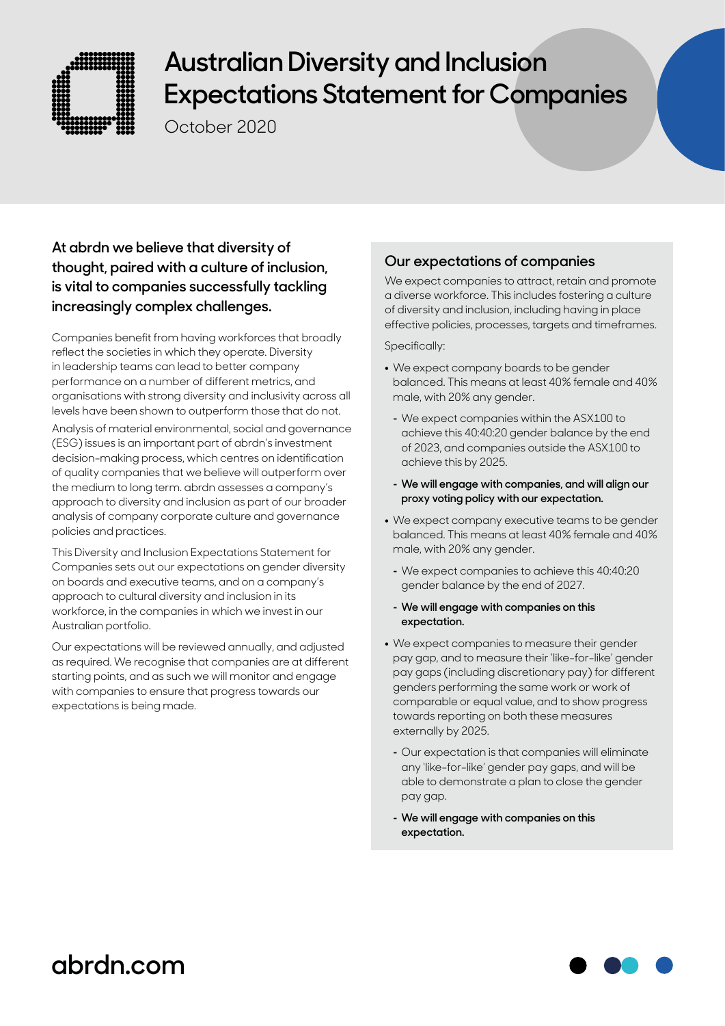

# **Australian Diversity and Inclusion Expectations Statement for Companies**

October 2020

### **At abrdn we believe that diversity of thought, paired with a culture of inclusion, is vital to companies successfully tackling increasingly complex challenges.**

Companies benefit from having workforces that broadly reflect the societies in which they operate. Diversity in leadership teams can lead to better company performance on a number of different metrics, and organisations with strong diversity and inclusivity across all levels have been shown to outperform those that do not.

Analysis of material environmental, social and governance (ESG) issues is an important part of abrdn's investment decision-making process, which centres on identification of quality companies that we believe will outperform over the medium to long term. abrdn assesses a company's approach to diversity and inclusion as part of our broader analysis of company corporate culture and governance policies and practices.

This Diversity and Inclusion Expectations Statement for Companies sets out our expectations on gender diversity on boards and executive teams, and on a company's approach to cultural diversity and inclusion in its workforce, in the companies in which we invest in our Australian portfolio.

Our expectations will be reviewed annually, and adjusted as required. We recognise that companies are at different starting points, and as such we will monitor and engage with companies to ensure that progress towards our expectations is being made.

### **Our expectations of companies**

We expect companies to attract, retain and promote a diverse workforce. This includes fostering a culture of diversity and inclusion, including having in place effective policies, processes, targets and timeframes.

Specifically:

- **•** We expect company boards to be gender balanced. This means at least 40% female and 40% male, with 20% any gender.
	- **-** We expect companies within the ASX100 to achieve this 40:40:20 gender balance by the end of 2023, and companies outside the ASX100 to achieve this by 2025.
	- **- We will engage with companies, and will align our proxy voting policy with our expectation.**
- **•** We expect company executive teams to be gender balanced. This means at least 40% female and 40% male, with 20% any gender.
	- **-** We expect companies to achieve this 40:40:20 gender balance by the end of 2027.
	- **- We will engage with companies on this expectation.**
- **•** We expect companies to measure their gender pay gap, and to measure their 'like-for-like' gender pay gaps (including discretionary pay) for different genders performing the same work or work of comparable or equal value, and to show progress towards reporting on both these measures externally by 2025.
	- **-** Our expectation is that companies will eliminate any 'like-for-like' gender pay gaps, and will be able to demonstrate a plan to close the gender pay gap.
	- **- We will engage with companies on this expectation.**

## **abrdn.com**